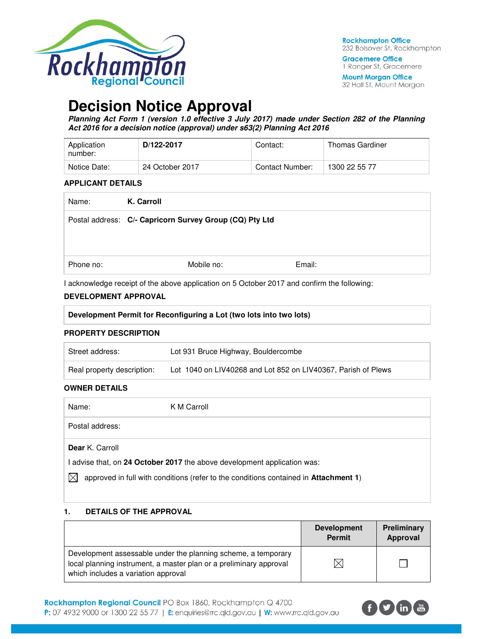

**Gracemere Office** 1 Ranger St, Gracemere

**Mount Morgan Office** 32 Hall St, Mount Morgan

# **Decision Notice Approval**

**Planning Act Form 1 (version 1.0 effective 3 July 2017) made under Section 282 of the Planning Act 2016 for a decision notice (approval) under s63(2) Planning Act 2016** 

| Application<br>number: | D/122-2017      | Contact:        | Thomas Gardiner |
|------------------------|-----------------|-----------------|-----------------|
| Notice Date:           | 24 October 2017 | Contact Number: | 1300 22 55 77   |

#### **APPLICANT DETAILS**

| Name:     | K. Carroll                                              |        |  |
|-----------|---------------------------------------------------------|--------|--|
|           | Postal address: C/- Capricorn Survey Group (CQ) Pty Ltd |        |  |
|           |                                                         |        |  |
| Phone no: | Mobile no:                                              | Email: |  |

I acknowledge receipt of the above application on 5 October 2017 and confirm the following:

#### **DEVELOPMENT APPROVAL**

|                             | Development Permit for Reconfiguring a Lot (two lots into two lots) |  |  |
|-----------------------------|---------------------------------------------------------------------|--|--|
| <b>PROPERTY DESCRIPTION</b> |                                                                     |  |  |
| $C$ troot oddroooi          | Let 021 Pruse Highway Pouldersembe                                  |  |  |

| Street address:            | Lot 931 Bruce Highway, Bouldercombe                           |
|----------------------------|---------------------------------------------------------------|
| Real property description: | Lot 1040 on LIV40268 and Lot 852 on LIV40367, Parish of Plews |

# **OWNER DETAILS**

| Name:                  | K M Carroll |
|------------------------|-------------|
| Postal address:        |             |
| <b>Dear</b> K. Carroll |             |

I advise that, on **24 October 2017** the above development application was:

 $\boxtimes$  approved in full with conditions (refer to the conditions contained in **Attachment 1**)

#### **1. DETAILS OF THE APPROVAL**

|                                                                                                                                                                            | <b>Development</b><br><b>Permit</b> | Preliminary<br>Approval |
|----------------------------------------------------------------------------------------------------------------------------------------------------------------------------|-------------------------------------|-------------------------|
| Development assessable under the planning scheme, a temporary<br>local planning instrument, a master plan or a preliminary approval<br>which includes a variation approval |                                     |                         |

Rockhampton Regional Council PO Box 1860, Rockhampton Q 4700 P: 07 4932 9000 or 1300 22 55 77 | E: enquiries@rrc.qld.gov.au | W: www.rrc.qld.gov.au

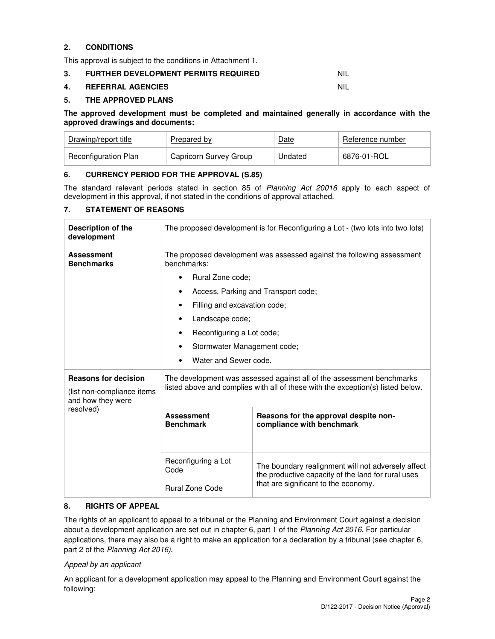# **2. CONDITIONS**

This approval is subject to the conditions in Attachment 1.

## **3. FURTHER DEVELOPMENT PERMITS REQUIRED** NIL

#### **4. REFERRAL AGENCIES** NIL

#### **5. THE APPROVED PLANS**

#### **The approved development must be completed and maintained generally in accordance with the approved drawings and documents:**

| Drawing/report title | Prepared by            | Date    | Reference number |
|----------------------|------------------------|---------|------------------|
| Reconfiguration Plan | Capricorn Survey Group | Undated | 5876-01-ROL *    |

#### **6. CURRENCY PERIOD FOR THE APPROVAL (S.85)**

The standard relevant periods stated in section 85 of Planning Act 20016 apply to each aspect of development in this approval, if not stated in the conditions of approval attached.

#### **7. STATEMENT OF REASONS**

| <b>Description of the</b><br>development                                       | The proposed development is for Reconfiguring a Lot - (two lots into two lots)                                                                           |                                                                                                          |  |
|--------------------------------------------------------------------------------|----------------------------------------------------------------------------------------------------------------------------------------------------------|----------------------------------------------------------------------------------------------------------|--|
| <b>Assessment</b><br><b>Benchmarks</b>                                         | The proposed development was assessed against the following assessment<br>benchmarks:                                                                    |                                                                                                          |  |
|                                                                                | Rural Zone code:                                                                                                                                         |                                                                                                          |  |
|                                                                                |                                                                                                                                                          | Access, Parking and Transport code;                                                                      |  |
|                                                                                | Filling and excavation code;                                                                                                                             |                                                                                                          |  |
|                                                                                | Landscape code;                                                                                                                                          |                                                                                                          |  |
|                                                                                | Reconfiguring a Lot code;                                                                                                                                |                                                                                                          |  |
|                                                                                | Stormwater Management code;                                                                                                                              |                                                                                                          |  |
|                                                                                | Water and Sewer code.                                                                                                                                    |                                                                                                          |  |
| <b>Reasons for decision</b><br>(list non-compliance items<br>and how they were | The development was assessed against all of the assessment benchmarks<br>listed above and complies with all of these with the exception(s) listed below. |                                                                                                          |  |
| resolved)                                                                      | <b>Assessment</b><br><b>Benchmark</b>                                                                                                                    | Reasons for the approval despite non-<br>compliance with benchmark                                       |  |
|                                                                                | Reconfiguring a Lot<br>Code                                                                                                                              | The boundary realignment will not adversely affect<br>the productive capacity of the land for rural uses |  |
|                                                                                | <b>Rural Zone Code</b>                                                                                                                                   | that are significant to the economy.                                                                     |  |

#### **8. RIGHTS OF APPEAL**

The rights of an applicant to appeal to a tribunal or the Planning and Environment Court against a decision about a development application are set out in chapter 6, part 1 of the Planning Act 2016. For particular applications, there may also be a right to make an application for a declaration by a tribunal (see chapter 6, part 2 of the Planning Act 2016).

#### Appeal by an applicant

An applicant for a development application may appeal to the Planning and Environment Court against the following: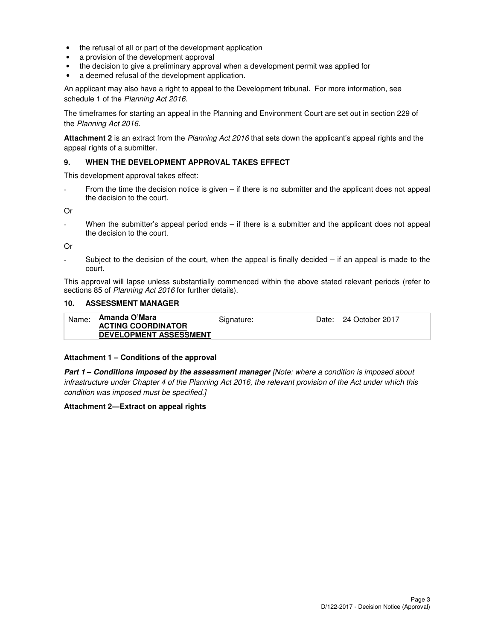- the refusal of all or part of the development application
- a provision of the development approval
- the decision to give a preliminary approval when a development permit was applied for
- a deemed refusal of the development application.

An applicant may also have a right to appeal to the Development tribunal. For more information, see schedule 1 of the Planning Act 2016.

The timeframes for starting an appeal in the Planning and Environment Court are set out in section 229 of the Planning Act 2016.

**Attachment 2** is an extract from the Planning Act 2016 that sets down the applicant's appeal rights and the appeal rights of a submitter.

#### **9. WHEN THE DEVELOPMENT APPROVAL TAKES EFFECT**

This development approval takes effect:

From the time the decision notice is given  $-$  if there is no submitter and the applicant does not appeal the decision to the court.

Or

When the submitter's appeal period ends  $-$  if there is a submitter and the applicant does not appeal the decision to the court.

Or

Subject to the decision of the court, when the appeal is finally decided  $-$  if an appeal is made to the court.

This approval will lapse unless substantially commenced within the above stated relevant periods (refer to sections 85 of Planning Act 2016 for further details).

#### **10. ASSESSMENT MANAGER**

| Name: | Amanda O'Mara                 | Signature: | Date: 24 October 2017 |
|-------|-------------------------------|------------|-----------------------|
|       | <b>ACTING COORDINATOR</b>     |            |                       |
|       | <b>DEVELOPMENT ASSESSMENT</b> |            |                       |

#### **Attachment 1 – Conditions of the approval**

**Part 1 – Conditions imposed by the assessment manager** [Note: where a condition is imposed about infrastructure under Chapter 4 of the Planning Act 2016, the relevant provision of the Act under which this condition was imposed must be specified.]

#### **Attachment 2—Extract on appeal rights**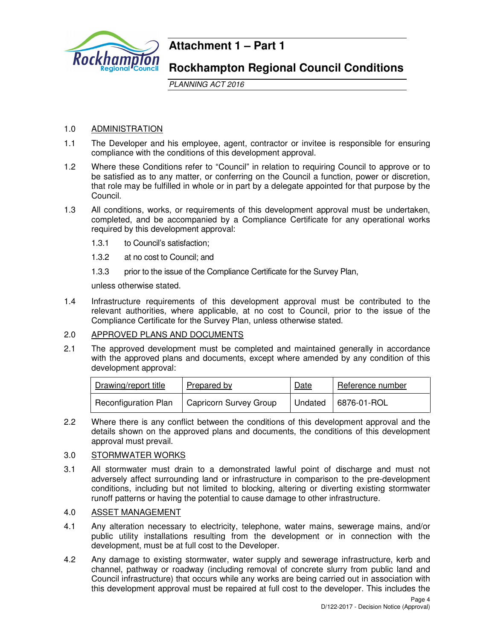

# **Attachment 1 – Part 1**

# **Rockhampton Regional Council Conditions**

PLANNING ACT 2016

# 1.0 ADMINISTRATION

- 1.1 The Developer and his employee, agent, contractor or invitee is responsible for ensuring compliance with the conditions of this development approval.
- 1.2 Where these Conditions refer to "Council" in relation to requiring Council to approve or to be satisfied as to any matter, or conferring on the Council a function, power or discretion, that role may be fulfilled in whole or in part by a delegate appointed for that purpose by the Council.
- 1.3 All conditions, works, or requirements of this development approval must be undertaken, completed, and be accompanied by a Compliance Certificate for any operational works required by this development approval:
	- 1.3.1 to Council's satisfaction;
	- 1.3.2 at no cost to Council; and
	- 1.3.3 prior to the issue of the Compliance Certificate for the Survey Plan,

unless otherwise stated.

1.4 Infrastructure requirements of this development approval must be contributed to the relevant authorities, where applicable, at no cost to Council, prior to the issue of the Compliance Certificate for the Survey Plan, unless otherwise stated.

# 2.0 APPROVED PLANS AND DOCUMENTS

2.1 The approved development must be completed and maintained generally in accordance with the approved plans and documents, except where amended by any condition of this development approval:

| Drawing/report title | Prepared by            | Date | Reference number      |
|----------------------|------------------------|------|-----------------------|
| Reconfiguration Plan | Capricorn Survey Group |      | Undated   6876-01-ROL |

2.2 Where there is any conflict between the conditions of this development approval and the details shown on the approved plans and documents, the conditions of this development approval must prevail.

## 3.0 STORMWATER WORKS

3.1 All stormwater must drain to a demonstrated lawful point of discharge and must not adversely affect surrounding land or infrastructure in comparison to the pre-development conditions, including but not limited to blocking, altering or diverting existing stormwater runoff patterns or having the potential to cause damage to other infrastructure.

#### 4.0 ASSET MANAGEMENT

- 4.1 Any alteration necessary to electricity, telephone, water mains, sewerage mains, and/or public utility installations resulting from the development or in connection with the development, must be at full cost to the Developer.
- 4.2 Any damage to existing stormwater, water supply and sewerage infrastructure, kerb and channel, pathway or roadway (including removal of concrete slurry from public land and Council infrastructure) that occurs while any works are being carried out in association with this development approval must be repaired at full cost to the developer. This includes the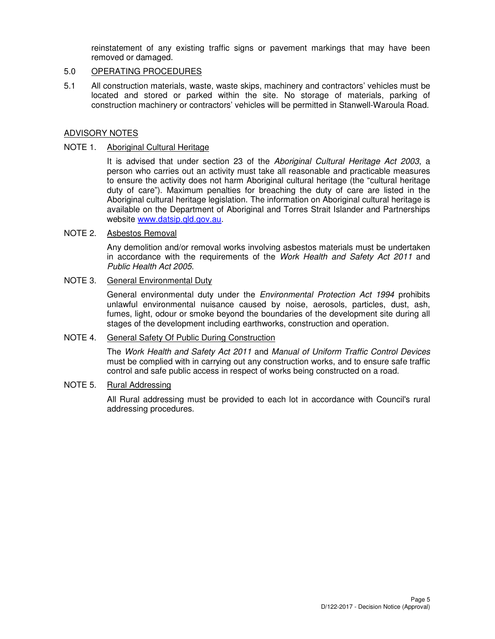reinstatement of any existing traffic signs or pavement markings that may have been removed or damaged.

# 5.0 OPERATING PROCEDURES

5.1 All construction materials, waste, waste skips, machinery and contractors' vehicles must be located and stored or parked within the site. No storage of materials, parking of construction machinery or contractors' vehicles will be permitted in Stanwell-Waroula Road.

## ADVISORY NOTES

#### NOTE 1. Aboriginal Cultural Heritage

It is advised that under section 23 of the Aboriginal Cultural Heritage Act 2003, a person who carries out an activity must take all reasonable and practicable measures to ensure the activity does not harm Aboriginal cultural heritage (the "cultural heritage duty of care"). Maximum penalties for breaching the duty of care are listed in the Aboriginal cultural heritage legislation. The information on Aboriginal cultural heritage is available on the Department of Aboriginal and Torres Strait Islander and Partnerships website www.datsip.qld.gov.au.

#### NOTE 2. Asbestos Removal

Any demolition and/or removal works involving asbestos materials must be undertaken in accordance with the requirements of the Work Health and Safety Act 2011 and Public Health Act 2005.

# NOTE 3. General Environmental Duty

General environmental duty under the *Environmental Protection Act 1994* prohibits unlawful environmental nuisance caused by noise, aerosols, particles, dust, ash, fumes, light, odour or smoke beyond the boundaries of the development site during all stages of the development including earthworks, construction and operation.

# NOTE 4. General Safety Of Public During Construction

The Work Health and Safety Act 2011 and Manual of Uniform Traffic Control Devices must be complied with in carrying out any construction works, and to ensure safe traffic control and safe public access in respect of works being constructed on a road.

#### NOTE 5. Rural Addressing

All Rural addressing must be provided to each lot in accordance with Council's rural addressing procedures.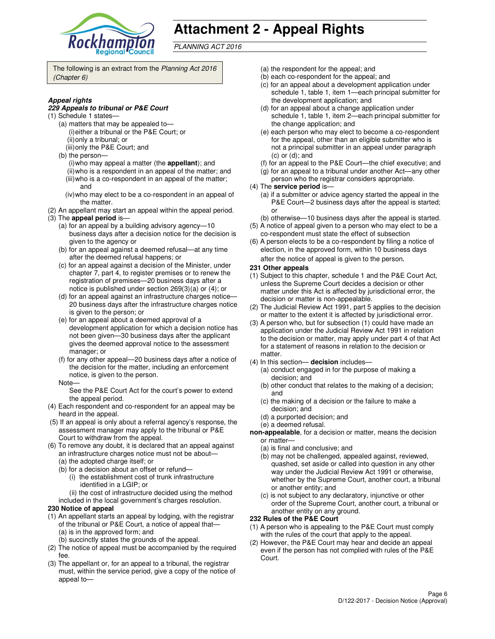

# **Attachment 2 - Appeal Rights**

PLANNING ACT 2016

The following is an extract from the Planning Act 2016 (Chapter 6)

#### **Appeal rights**

#### **229 Appeals to tribunal or P&E Court**

- (1) Schedule 1 states—
	- (a) matters that may be appealed to— (i) either a tribunal or the P&E Court; or (ii) only a tribunal; or
	- (iii) only the P&E Court; and
	- (b) the person—
		- (i) who may appeal a matter (the **appellant**); and (ii) who is a respondent in an appeal of the matter; and (iii) who is a co-respondent in an appeal of the matter;
		- and (iv) who may elect to be a co-respondent in an appeal of
	- the matter.
- (2) An appellant may start an appeal within the appeal period. (3) The **appeal period** is—
	- (a) for an appeal by a building advisory agency—10 business days after a decision notice for the decision is given to the agency or
	- (b) for an appeal against a deemed refusal—at any time after the deemed refusal happens; or
	- (c) for an appeal against a decision of the Minister, under chapter 7, part 4, to register premises or to renew the registration of premises—20 business days after a notice is published under section 269(3)(a) or (4); or
	- (d) for an appeal against an infrastructure charges notice— 20 business days after the infrastructure charges notice is given to the person; or
	- (e) for an appeal about a deemed approval of a development application for which a decision notice has not been given—30 business days after the applicant gives the deemed approval notice to the assessment manager; or
	- (f) for any other appeal—20 business days after a notice of the decision for the matter, including an enforcement notice, is given to the person.
	- Note—

See the P&E Court Act for the court's power to extend the appeal period.

- (4) Each respondent and co-respondent for an appeal may be heard in the appeal.
- (5) If an appeal is only about a referral agency's response, the assessment manager may apply to the tribunal or P&E Court to withdraw from the appeal.
- (6) To remove any doubt, it is declared that an appeal against an infrastructure charges notice must not be about—
	- (a) the adopted charge itself; or
	- (b) for a decision about an offset or refund—
		- (i) the establishment cost of trunk infrastructure identified in a LGIP; or
		- (ii) the cost of infrastructure decided using the method
	- included in the local government's charges resolution.

#### **230 Notice of appeal**

- (1) An appellant starts an appeal by lodging, with the registrar of the tribunal or P&E Court, a notice of appeal that— (a) is in the approved form; and
	- (b) succinctly states the grounds of the appeal.
- (2) The notice of appeal must be accompanied by the required fee.
- (3) The appellant or, for an appeal to a tribunal, the registrar must, within the service period, give a copy of the notice of appeal to—
- (a) the respondent for the appeal; and
- (b) each co-respondent for the appeal; and
- (c) for an appeal about a development application under schedule 1, table 1, item 1—each principal submitter for the development application; and
- (d) for an appeal about a change application under schedule 1, table 1, item 2—each principal submitter for the change application; and
- (e) each person who may elect to become a co-respondent for the appeal, other than an eligible submitter who is not a principal submitter in an appeal under paragraph (c) or (d); and
- (f) for an appeal to the P&E Court—the chief executive; and
- (g) for an appeal to a tribunal under another Act—any other
- person who the registrar considers appropriate.
- (4) The **service period** is—
	- (a) if a submitter or advice agency started the appeal in the P&E Court—2 business days after the appeal is started; or
- (b) otherwise—10 business days after the appeal is started. (5) A notice of appeal given to a person who may elect to be a
- co-respondent must state the effect of subsection (6) A person elects to be a co-respondent by filing a notice of
- election, in the approved form, within 10 business days after the notice of appeal is given to the person*.*
- **231 Other appeals**
- (1) Subject to this chapter, schedule 1 and the P&E Court Act, unless the Supreme Court decides a decision or other matter under this Act is affected by jurisdictional error, the decision or matter is non-appealable.
- (2) The Judicial Review Act 1991, part 5 applies to the decision or matter to the extent it is affected by jurisdictional error.
- (3) A person who, but for subsection (1) could have made an application under the Judicial Review Act 1991 in relation to the decision or matter, may apply under part 4 of that Act for a statement of reasons in relation to the decision or matter.
- (4) In this section— **decision** includes—
	- (a) conduct engaged in for the purpose of making a decision; and
	- (b) other conduct that relates to the making of a decision; and
	- (c) the making of a decision or the failure to make a decision; and
	- (d) a purported decision; and
	- (e) a deemed refusal.
- **non-appealable**, for a decision or matter, means the decision or matter—
	- (a) is final and conclusive; and
	- (b) may not be challenged, appealed against, reviewed, quashed, set aside or called into question in any other way under the Judicial Review Act 1991 or otherwise, whether by the Supreme Court, another court, a tribunal or another entity; and
	- (c) is not subject to any declaratory, injunctive or other order of the Supreme Court, another court, a tribunal or another entity on any ground.

#### **232 Rules of the P&E Court**

- (1) A person who is appealing to the P&E Court must comply with the rules of the court that apply to the appeal.
- (2) However, the P&E Court may hear and decide an appeal even if the person has not complied with rules of the P&E Court.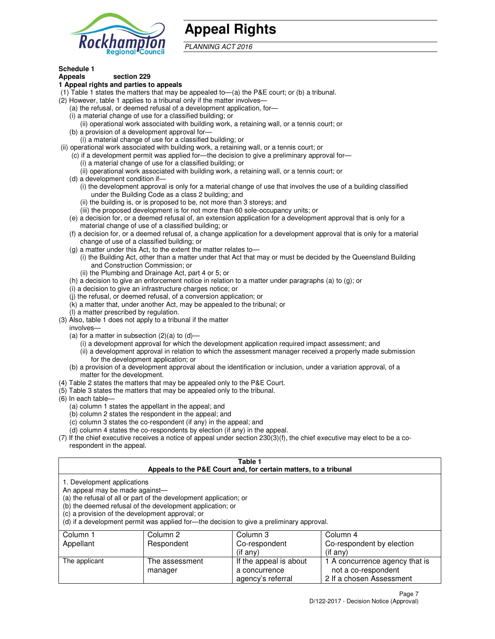

# **Appeal Rights**

PLANNING ACT 2016

#### **Schedule 1 Appeals section 229**

# **1 Appeal rights and parties to appeals**

- (1) Table 1 states the matters that may be appealed to—(a) the P&E court; or (b) a tribunal.
- (2) However, table 1 applies to a tribunal only if the matter involves—
	- (a) the refusal, or deemed refusal of a development application, for—
	- (i) a material change of use for a classified building; or
	- (ii) operational work associated with building work, a retaining wall, or a tennis court; or (b) a provision of a development approval for—
	- (i) a material change of use for a classified building; or
- (ii) operational work associated with building work, a retaining wall, or a tennis court; or
	- (c) if a development permit was applied for—the decision to give a preliminary approval for—
		- (i) a material change of use for a classified building; or
		- (ii) operational work associated with building work, a retaining wall, or a tennis court; or
	- (d) a development condition if—
		- (i) the development approval is only for a material change of use that involves the use of a building classified under the Building Code as a class 2 building; and
		- (ii) the building is, or is proposed to be, not more than 3 storeys; and
		- (iii) the proposed development is for not more than 60 sole-occupancy units; or
	- (e) a decision for, or a deemed refusal of, an extension application for a development approval that is only for a material change of use of a classified building; or
	- (f) a decision for, or a deemed refusal of, a change application for a development approval that is only for a material change of use of a classified building; or
	- (g) a matter under this Act, to the extent the matter relates to—
		- (i) the Building Act, other than a matter under that Act that may or must be decided by the Queensland Building and Construction Commission; or
		- (ii) the Plumbing and Drainage Act, part 4 or 5; or
	- (h) a decision to give an enforcement notice in relation to a matter under paragraphs (a) to (g); or
	- (i) a decision to give an infrastructure charges notice; or
	- (j) the refusal, or deemed refusal, of a conversion application; or
	- (k) a matter that, under another Act, may be appealed to the tribunal; or
	- (l) a matter prescribed by regulation.
- (3) Also, table 1 does not apply to a tribunal if the matter
- involves—
	- (a) for a matter in subsection  $(2)(a)$  to  $(d)$ 
		- (i) a development approval for which the development application required impact assessment; and
		- (ii) a development approval in relation to which the assessment manager received a properly made submission for the development application; or
	- (b) a provision of a development approval about the identification or inclusion, under a variation approval, of a matter for the development.
- (4) Table 2 states the matters that may be appealed only to the P&E Court.
- (5) Table 3 states the matters that may be appealed only to the tribunal.
- (6) In each table—
	- (a) column 1 states the appellant in the appeal; and
	- (b) column 2 states the respondent in the appeal; and
	- (c) column 3 states the co-respondent (if any) in the appeal; and
	- (d) column 4 states the co-respondents by election (if any) in the appeal.
- (7) If the chief executive receives a notice of appeal under section 230(3)(f), the chief executive may elect to be a corespondent in the appeal.

## **Table 1**

| Appeals to the P&E Court and, for certain matters, to a tribunal |                                                                                                                                                                                   |                                                                                          |                                                       |  |  |
|------------------------------------------------------------------|-----------------------------------------------------------------------------------------------------------------------------------------------------------------------------------|------------------------------------------------------------------------------------------|-------------------------------------------------------|--|--|
| 1. Development applications<br>An appeal may be made against-    | (a) the refusal of all or part of the development application; or<br>(b) the deemed refusal of the development application; or<br>(c) a provision of the development approval; or | (d) if a development permit was applied for—the decision to give a preliminary approval. |                                                       |  |  |
| Column 1                                                         | Column 2                                                                                                                                                                          | Column 3                                                                                 | Column 4                                              |  |  |
| Appellant                                                        | Respondent                                                                                                                                                                        | Co-respondent                                                                            | Co-respondent by election                             |  |  |
|                                                                  |                                                                                                                                                                                   | $($ if any $)$                                                                           | $(if$ any)                                            |  |  |
| The applicant                                                    | The assessment<br>manager                                                                                                                                                         | If the appeal is about<br>a concurrence                                                  | 1 A concurrence agency that is<br>not a co-respondent |  |  |

agency's referral

2 If a chosen Assessment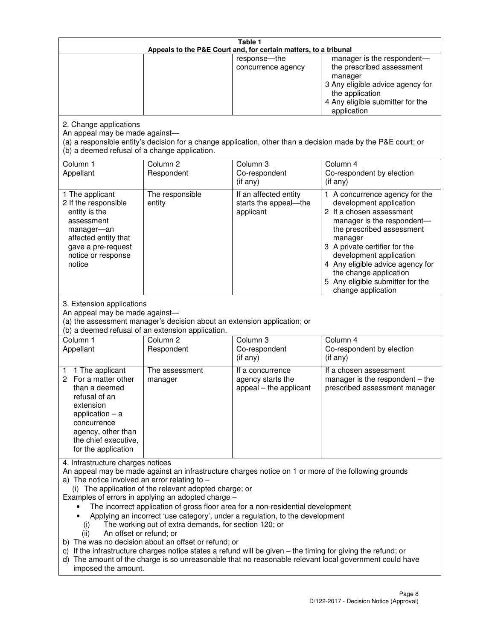| Table 1<br>Appeals to the P&E Court and, for certain matters, to a tribunal                                                                                                                          |                                                                                                                                                                                                                               |                                                                                                                                                                                                                                                                                 |                                                                                                                                                                                                                                                                                                                                                 |  |
|------------------------------------------------------------------------------------------------------------------------------------------------------------------------------------------------------|-------------------------------------------------------------------------------------------------------------------------------------------------------------------------------------------------------------------------------|---------------------------------------------------------------------------------------------------------------------------------------------------------------------------------------------------------------------------------------------------------------------------------|-------------------------------------------------------------------------------------------------------------------------------------------------------------------------------------------------------------------------------------------------------------------------------------------------------------------------------------------------|--|
|                                                                                                                                                                                                      |                                                                                                                                                                                                                               | response-the<br>concurrence agency                                                                                                                                                                                                                                              | manager is the respondent-<br>the prescribed assessment<br>manager<br>3 Any eligible advice agency for<br>the application<br>4 Any eligible submitter for the<br>application                                                                                                                                                                    |  |
| 2. Change applications<br>An appeal may be made against-<br>(b) a deemed refusal of a change application.                                                                                            |                                                                                                                                                                                                                               |                                                                                                                                                                                                                                                                                 | (a) a responsible entity's decision for a change application, other than a decision made by the P&E court; or                                                                                                                                                                                                                                   |  |
| Column 1<br>Appellant                                                                                                                                                                                | Column <sub>2</sub><br>Respondent                                                                                                                                                                                             | Column 3<br>Co-respondent<br>(if any)                                                                                                                                                                                                                                           | Column 4<br>Co-respondent by election<br>(if any)                                                                                                                                                                                                                                                                                               |  |
| 1 The applicant<br>2 If the responsible<br>entity is the<br>assessment<br>manager-an<br>affected entity that<br>gave a pre-request<br>notice or response<br>notice                                   | The responsible<br>entity                                                                                                                                                                                                     | If an affected entity<br>starts the appeal-the<br>applicant                                                                                                                                                                                                                     | 1 A concurrence agency for the<br>development application<br>2 If a chosen assessment<br>manager is the respondent-<br>the prescribed assessment<br>manager<br>3 A private certifier for the<br>development application<br>4 Any eligible advice agency for<br>the change application<br>5 Any eligible submitter for the<br>change application |  |
| 3. Extension applications<br>An appeal may be made against-<br>Column 1<br>Appellant                                                                                                                 | (a) the assessment manager's decision about an extension application; or<br>(b) a deemed refusal of an extension application.<br>Column <sub>2</sub><br>Respondent                                                            | Column 3<br>Co-respondent                                                                                                                                                                                                                                                       | Column 4<br>Co-respondent by election                                                                                                                                                                                                                                                                                                           |  |
| 1 The applicant<br>1<br>2 For a matter other<br>than a deemed<br>refusal of an<br>extension<br>application $-$ a<br>concurrence<br>agency, other than<br>the chief executive,<br>for the application | The assessment<br>manager                                                                                                                                                                                                     | (if any)<br>If a concurrence<br>agency starts the<br>appeal - the applicant                                                                                                                                                                                                     | (if any)<br>If a chosen assessment<br>manager is the respondent $-$ the<br>prescribed assessment manager                                                                                                                                                                                                                                        |  |
| 4. Infrastructure charges notices<br>a) The notice involved an error relating to $-$<br>(i)<br>An offset or refund; or<br>(ii)<br>imposed the amount.                                                | (i) The application of the relevant adopted charge; or<br>Examples of errors in applying an adopted charge -<br>The working out of extra demands, for section 120; or<br>b) The was no decision about an offset or refund; or | The incorrect application of gross floor area for a non-residential development<br>Applying an incorrect 'use category', under a regulation, to the development<br>c) If the infrastructure charges notice states a refund will be given - the timing for giving the refund; or | An appeal may be made against an infrastructure charges notice on 1 or more of the following grounds<br>d) The amount of the charge is so unreasonable that no reasonable relevant local government could have                                                                                                                                  |  |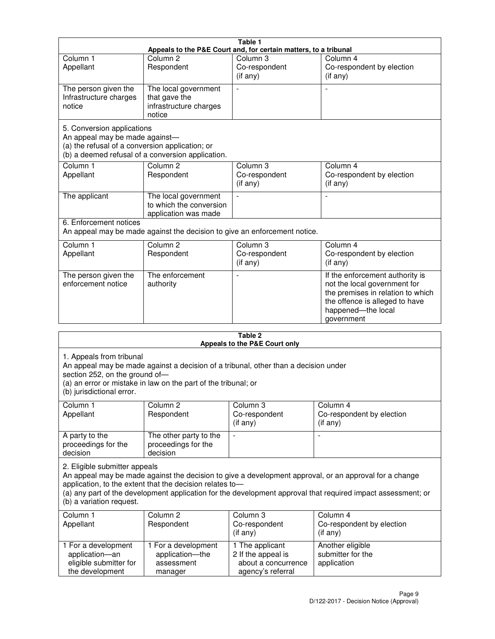|                                                                                                                 |                                                                           | Table 1                                                          |                                                                                                                                                                            |
|-----------------------------------------------------------------------------------------------------------------|---------------------------------------------------------------------------|------------------------------------------------------------------|----------------------------------------------------------------------------------------------------------------------------------------------------------------------------|
|                                                                                                                 |                                                                           | Appeals to the P&E Court and, for certain matters, to a tribunal |                                                                                                                                                                            |
| Column <sub>1</sub><br>Appellant                                                                                | Column <sub>2</sub><br>Respondent                                         | Column 3<br>Co-respondent<br>(if any)                            | Column 4<br>Co-respondent by election<br>(if any)                                                                                                                          |
| The person given the<br>Infrastructure charges<br>notice                                                        | The local government<br>that gave the<br>infrastructure charges<br>notice |                                                                  |                                                                                                                                                                            |
| 5. Conversion applications<br>An appeal may be made against-<br>(a) the refusal of a conversion application; or | (b) a deemed refusal of a conversion application.                         |                                                                  |                                                                                                                                                                            |
| Column <sub>1</sub><br>Appellant                                                                                | Column $\overline{2}$<br>Respondent                                       | Column <sub>3</sub><br>Co-respondent<br>$(i f \text{ any})$      | Column <sub>4</sub><br>Co-respondent by election<br>(if any)                                                                                                               |
| The applicant                                                                                                   | The local government<br>to which the conversion<br>application was made   | $\overline{a}$                                                   |                                                                                                                                                                            |
| 6. Enforcement notices                                                                                          | An appeal may be made against the decision to give an enforcement notice. |                                                                  |                                                                                                                                                                            |
| Column <sub>1</sub><br>Appellant                                                                                | Column <sub>2</sub><br>Respondent                                         | Column <sub>3</sub><br>Co-respondent<br>$(i f \text{ any})$      | Column 4<br>Co-respondent by election<br>(if any)                                                                                                                          |
| The person given the<br>enforcement notice                                                                      | The enforcement<br>authority                                              |                                                                  | If the enforcement authority is<br>not the local government for<br>the premises in relation to which<br>the offence is alleged to have<br>happened-the local<br>government |
|                                                                                                                 |                                                                           |                                                                  |                                                                                                                                                                            |

| Table 2<br>Appeals to the P&E Court only                                                |                                                                                                                                                       |                                                                                   |                                                                                                                                                                                                                        |  |
|-----------------------------------------------------------------------------------------|-------------------------------------------------------------------------------------------------------------------------------------------------------|-----------------------------------------------------------------------------------|------------------------------------------------------------------------------------------------------------------------------------------------------------------------------------------------------------------------|--|
| 1. Appeals from tribunal<br>section 252, on the ground of-<br>(b) jurisdictional error. | An appeal may be made against a decision of a tribunal, other than a decision under<br>(a) an error or mistake in law on the part of the tribunal; or |                                                                                   |                                                                                                                                                                                                                        |  |
| Column 1<br>Appellant                                                                   | Column <sub>2</sub><br>Respondent                                                                                                                     | Column 3<br>Co-respondent<br>(if any)                                             | Column 4<br>Co-respondent by election<br>(if any)                                                                                                                                                                      |  |
| A party to the<br>proceedings for the<br>decision                                       | The other party to the<br>proceedings for the<br>decision                                                                                             | ÷,                                                                                |                                                                                                                                                                                                                        |  |
| 2. Eligible submitter appeals<br>(b) a variation request.                               | application, to the extent that the decision relates to-                                                                                              |                                                                                   | An appeal may be made against the decision to give a development approval, or an approval for a change<br>(a) any part of the development application for the development approval that required impact assessment; or |  |
| Column <sub>1</sub><br>Appellant                                                        | Column <sub>2</sub><br>Respondent                                                                                                                     | Column 3<br>Co-respondent<br>(if any)                                             | Column <sub>4</sub><br>Co-respondent by election<br>$(if$ any)                                                                                                                                                         |  |
| 1 For a development<br>application-an<br>eligible submitter for<br>the development      | 1 For a development<br>application-the<br>assessment<br>manager                                                                                       | 1 The applicant<br>2 If the appeal is<br>about a concurrence<br>agency's referral | Another eligible<br>submitter for the<br>application                                                                                                                                                                   |  |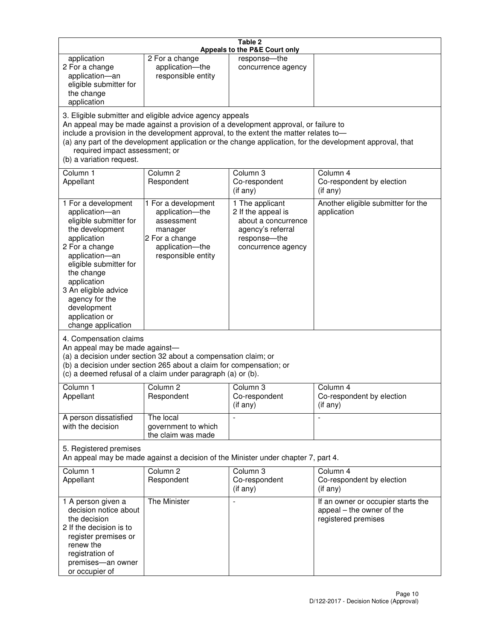|                                                                                                                                                                                                                                                                                               |                                                                                                                                                                                                      | Table 2<br>Appeals to the P&E Court only                                                                                                                                    |                                                                                                           |
|-----------------------------------------------------------------------------------------------------------------------------------------------------------------------------------------------------------------------------------------------------------------------------------------------|------------------------------------------------------------------------------------------------------------------------------------------------------------------------------------------------------|-----------------------------------------------------------------------------------------------------------------------------------------------------------------------------|-----------------------------------------------------------------------------------------------------------|
| application<br>2 For a change<br>application-an<br>eligible submitter for<br>the change<br>application                                                                                                                                                                                        | 2 For a change<br>application-the<br>responsible entity                                                                                                                                              | response-the<br>concurrence agency                                                                                                                                          |                                                                                                           |
| required impact assessment; or<br>(b) a variation request.                                                                                                                                                                                                                                    | 3. Eligible submitter and eligible advice agency appeals                                                                                                                                             | An appeal may be made against a provision of a development approval, or failure to<br>include a provision in the development approval, to the extent the matter relates to- | (a) any part of the development application or the change application, for the development approval, that |
| Column 1<br>Appellant                                                                                                                                                                                                                                                                         | Column <sub>2</sub><br>Respondent                                                                                                                                                                    | Column <sub>3</sub><br>Co-respondent<br>(if any)                                                                                                                            | Column 4<br>Co-respondent by election<br>(i f any)                                                        |
| 1 For a development<br>application-an<br>eligible submitter for<br>the development<br>application<br>2 For a change<br>application-an<br>eligible submitter for<br>the change<br>application<br>3 An eligible advice<br>agency for the<br>development<br>application or<br>change application | 1 For a development<br>application-the<br>assessment<br>manager<br>2 For a change<br>application-the<br>responsible entity                                                                           | 1 The applicant<br>2 If the appeal is<br>about a concurrence<br>agency's referral<br>response-the<br>concurrence agency                                                     | Another eligible submitter for the<br>application                                                         |
| 4. Compensation claims<br>An appeal may be made against-                                                                                                                                                                                                                                      | (a) a decision under section 32 about a compensation claim; or<br>(b) a decision under section 265 about a claim for compensation; or<br>(c) a deemed refusal of a claim under paragraph (a) or (b). |                                                                                                                                                                             |                                                                                                           |
| Column 1<br>Appellant                                                                                                                                                                                                                                                                         | Column 2<br>Respondent                                                                                                                                                                               | Column 3<br>Co-respondent<br>(if any)                                                                                                                                       | Column 4<br>Co-respondent by election<br>(if any)                                                         |
| A person dissatisfied<br>with the decision                                                                                                                                                                                                                                                    | The local<br>government to which<br>the claim was made                                                                                                                                               |                                                                                                                                                                             | $\blacksquare$                                                                                            |
| 5. Registered premises                                                                                                                                                                                                                                                                        |                                                                                                                                                                                                      | An appeal may be made against a decision of the Minister under chapter 7, part 4.                                                                                           |                                                                                                           |
| Column 1<br>Appellant                                                                                                                                                                                                                                                                         | Column <sub>2</sub><br>Respondent                                                                                                                                                                    | Column 3<br>Co-respondent<br>(if any)                                                                                                                                       | Column 4<br>Co-respondent by election<br>(if any)                                                         |
| 1 A person given a<br>decision notice about<br>the decision<br>2 If the decision is to<br>register premises or<br>renew the<br>registration of<br>premises-an owner<br>or occupier of                                                                                                         | The Minister                                                                                                                                                                                         | $\overline{a}$                                                                                                                                                              | If an owner or occupier starts the<br>appeal - the owner of the<br>registered premises                    |